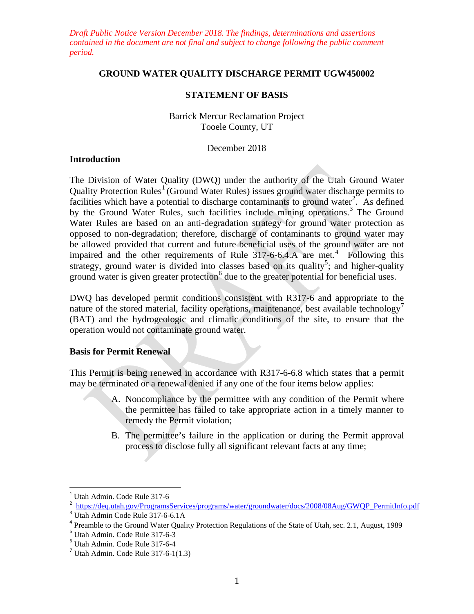*Draft Public Notice Version December 2018. The findings, determinations and assertions contained in the document are not final and subject to change following the public comment period.*

### **GROUND WATER QUALITY DISCHARGE PERMIT UGW450002**

### **STATEMENT OF BASIS**

Barrick Mercur Reclamation Project Tooele County, UT

#### December 2018

### **Introduction**

The Division of Water Quality (DWQ) under the authority of the Utah Ground Water Quality Protection Rules<sup>[1](#page-0-0)</sup> (Ground Water Rules) issues ground water discharge permits to facilities which have a potential to discharge contaminants to ground water<sup>[2](#page-0-1)</sup>. As defined by the Ground Water Rules, such facilities include mining operations.<sup>[3](#page-0-2)</sup> The Ground Water Rules are based on an anti-degradation strategy for ground water protection as opposed to non-degradation; therefore, discharge of contaminants to ground water may be allowed provided that current and future beneficial uses of the ground water are not impaired and the other requirements of Rule  $317-6-6.4$  $317-6-6.4$ . A are met.<sup>4</sup> Following this strategy, ground water is divided into classes based on its quality<sup>[5](#page-0-4)</sup>; and higher-quality ground water is given greater protection $<sup>6</sup>$  $<sup>6</sup>$  $<sup>6</sup>$  due to the greater potential for beneficial uses.</sup>

DWQ has developed permit conditions consistent with R317-6 and appropriate to the nature of the stored material, facility operations, maintenance, best available technology<sup>[7](#page-0-6)</sup> (BAT) and the hydrogeologic and climatic conditions of the site, to ensure that the operation would not contaminate ground water.

### **Basis for Permit Renewal**

This Permit is being renewed in accordance with R317-6-6.8 which states that a permit may be terminated or a renewal denied if any one of the four items below applies:

- A. Noncompliance by the permittee with any condition of the Permit where the permittee has failed to take appropriate action in a timely manner to remedy the Permit violation;
- B. The permittee's failure in the application or during the Permit approval process to disclose fully all significant relevant facts at any time;

<span id="page-0-0"></span><sup>&</sup>lt;sup>1</sup> Utah Admin. Code Rule 317-6<br> $\frac{1}{2}$  https://deq.utah.gov/ProgramsServices/programs/water/groundwater/docs/2008/08Aug/GWQP\_PermitInfo.pdf

<span id="page-0-3"></span><span id="page-0-2"></span><span id="page-0-1"></span><sup>&</sup>lt;sup>3</sup> Utah Admin Code Rule 317-6-6.1A<br><sup>4</sup> Preamble to the Ground Water Quality Protection Regulations of the State of Utah, sec. 2.1, August, 1989<br><sup>5</sup> Utah Admin. Code Rule 317-6-3

<span id="page-0-5"></span><span id="page-0-4"></span> $<sup>6</sup>$  Utah Admin. Code Rule 317-6-4<br> $<sup>7</sup>$  Utah Admin. Code Rule 317-6-1(1.3)</sup></sup>

<span id="page-0-6"></span>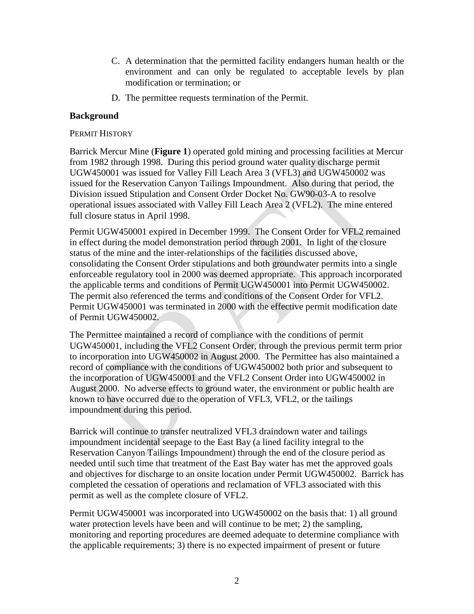- C. A determination that the permitted facility endangers human health or the environment and can only be regulated to acceptable levels by plan modification or termination; or
- D. The permittee requests termination of the Permit.

### **Background**

### PERMIT HISTORY

Barrick Mercur Mine (**Figure 1**) operated gold mining and processing facilities at Mercur from 1982 through 1998. During this period ground water quality discharge permit UGW450001 was issued for Valley Fill Leach Area 3 (VFL3) and UGW450002 was issued for the Reservation Canyon Tailings Impoundment. Also during that period, the Division issued Stipulation and Consent Order Docket No. GW90-03-A to resolve operational issues associated with Valley Fill Leach Area 2 (VFL2). The mine entered full closure status in April 1998.

Permit UGW450001 expired in December 1999. The Consent Order for VFL2 remained in effect during the model demonstration period through 2001. In light of the closure status of the mine and the inter-relationships of the facilities discussed above, consolidating the Consent Order stipulations and both groundwater permits into a single enforceable regulatory tool in 2000 was deemed appropriate. This approach incorporated the applicable terms and conditions of Permit UGW450001 into Permit UGW450002. The permit also referenced the terms and conditions of the Consent Order for VFL2. Permit UGW450001 was terminated in 2000 with the effective permit modification date of Permit UGW450002.

The Permittee maintained a record of compliance with the conditions of permit UGW450001, including the VFL2 Consent Order, through the previous permit term prior to incorporation into UGW450002 in August 2000. The Permittee has also maintained a record of compliance with the conditions of UGW450002 both prior and subsequent to the incorporation of UGW450001 and the VFL2 Consent Order into UGW450002 in August 2000. No adverse effects to ground water, the environment or public health are known to have occurred due to the operation of VFL3, VFL2, or the tailings impoundment during this period.

Barrick will continue to transfer neutralized VFL3 draindown water and tailings impoundment incidental seepage to the East Bay (a lined facility integral to the Reservation Canyon Tailings Impoundment) through the end of the closure period as needed until such time that treatment of the East Bay water has met the approved goals and objectives for discharge to an onsite location under Permit UGW450002. Barrick has completed the cessation of operations and reclamation of VFL3 associated with this permit as well as the complete closure of VFL2.

Permit UGW450001 was incorporated into UGW450002 on the basis that: 1) all ground water protection levels have been and will continue to be met; 2) the sampling, monitoring and reporting procedures are deemed adequate to determine compliance with the applicable requirements; 3) there is no expected impairment of present or future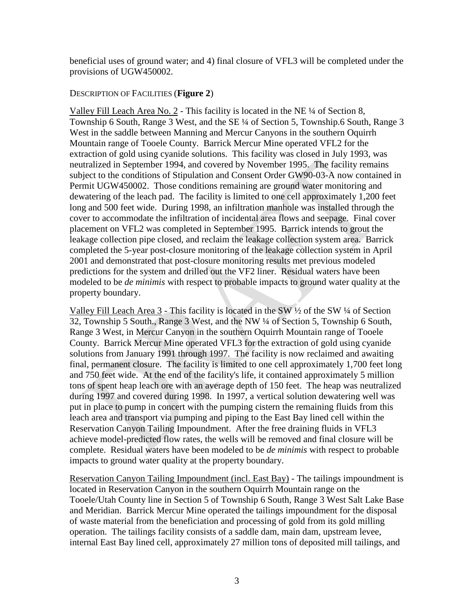beneficial uses of ground water; and 4) final closure of VFL3 will be completed under the provisions of UGW450002.

### DESCRIPTION OF FACILITIES (**Figure 2**)

Valley Fill Leach Area No. 2 - This facility is located in the NE ¼ of Section 8, Township 6 South, Range 3 West, and the SE ¼ of Section 5, Township.6 South, Range 3 West in the saddle between Manning and Mercur Canyons in the southern Oquirrh Mountain range of Tooele County. Barrick Mercur Mine operated VFL2 for the extraction of gold using cyanide solutions. This facility was closed in July 1993, was neutralized in September 1994, and covered by November 1995. The facility remains subject to the conditions of Stipulation and Consent Order GW90-03-A now contained in Permit UGW450002. Those conditions remaining are ground water monitoring and dewatering of the leach pad. The facility is limited to one cell approximately 1,200 feet long and 500 feet wide. During 1998, an infiltration manhole was installed through the cover to accommodate the infiltration of incidental area flows and seepage. Final cover placement on VFL2 was completed in September 1995. Barrick intends to grout the leakage collection pipe closed, and reclaim the leakage collection system area. Barrick completed the 5-year post-closure monitoring of the leakage collection system in April 2001 and demonstrated that post-closure monitoring results met previous modeled predictions for the system and drilled out the VF2 liner. Residual waters have been modeled to be *de minimis* with respect to probable impacts to ground water quality at the property boundary.

Valley Fill Leach Area 3 - This facility is located in the SW ½ of the SW ¼ of Section 32, Township 5 South., Range 3 West, and the NW ¼ of Section 5, Township 6 South, Range 3 West, in Mercur Canyon in the southern Oquirrh Mountain range of Tooele County. Barrick Mercur Mine operated VFL3 for the extraction of gold using cyanide solutions from January 1991 through 1997. The facility is now reclaimed and awaiting final, permanent closure. The facility is limited to one cell approximately 1,700 feet long and 750 feet wide. At the end of the facility's life, it contained approximately 5 million tons of spent heap leach ore with an average depth of 150 feet. The heap was neutralized during 1997 and covered during 1998. In 1997, a vertical solution dewatering well was put in place to pump in concert with the pumping cistern the remaining fluids from this leach area and transport via pumping and piping to the East Bay lined cell within the Reservation Canyon Tailing Impoundment. After the free draining fluids in VFL3 achieve model-predicted flow rates, the wells will be removed and final closure will be complete. Residual waters have been modeled to be *de minimis* with respect to probable impacts to ground water quality at the property boundary.

Reservation Canyon Tailing Impoundment (incl. East Bay) - The tailings impoundment is located in Reservation Canyon in the southern Oquirrh Mountain range on the Tooele/Utah County line in Section 5 of Township 6 South, Range 3 West Salt Lake Base and Meridian. Barrick Mercur Mine operated the tailings impoundment for the disposal of waste material from the beneficiation and processing of gold from its gold milling operation. The tailings facility consists of a saddle dam, main dam, upstream levee, internal East Bay lined cell, approximately 27 million tons of deposited mill tailings, and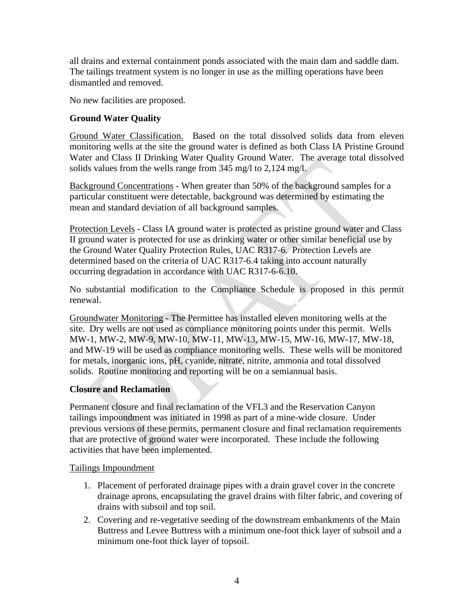all drains and external containment ponds associated with the main dam and saddle dam. The tailings treatment system is no longer in use as the milling operations have been dismantled and removed.

No new facilities are proposed.

# **Ground Water Quality**

Ground Water Classification. Based on the total dissolved solids data from eleven monitoring wells at the site the ground water is defined as both Class IA Pristine Ground Water and Class II Drinking Water Quality Ground Water. The average total dissolved solids values from the wells range from 345 mg/l to 2,124 mg/l.

Background Concentrations - When greater than 50% of the background samples for a particular constituent were detectable, background was determined by estimating the mean and standard deviation of all background samples.

Protection Levels - Class IA ground water is protected as pristine ground water and Class II ground water is protected for use as drinking water or other similar beneficial use by the Ground Water Quality Protection Rules, UAC R317-6. Protection Levels are determined based on the criteria of UAC R317-6.4 taking into account naturally occurring degradation in accordance with UAC R317-6-6.10.

No substantial modification to the Compliance Schedule is proposed in this permit renewal.

Groundwater Monitoring - The Permittee has installed eleven monitoring wells at the site. Dry wells are not used as compliance monitoring points under this permit. Wells MW-1, MW-2, MW-9, MW-10, MW-11, MW-13, MW-15, MW-16, MW-17, MW-18, and MW-19 will be used as compliance monitoring wells. These wells will be monitored for metals, inorganic ions, pH, cyanide, nitrate, nitrite, ammonia and total dissolved solids. Routine monitoring and reporting will be on a semiannual basis.

## **Closure and Reclamation**

Permanent closure and final reclamation of the VFL3 and the Reservation Canyon tailings impoundment was initiated in 1998 as part of a mine-wide closure. Under previous versions of these permits, permanent closure and final reclamation requirements that are protective of ground water were incorporated. These include the following activities that have been implemented.

## Tailings Impoundment

- 1. Placement of perforated drainage pipes with a drain gravel cover in the concrete drainage aprons, encapsulating the gravel drains with filter fabric, and covering of drains with subsoil and top soil.
- 2. Covering and re-vegetative seeding of the downstream embankments of the Main Buttress and Levee Buttress with a minimum one-foot thick layer of subsoil and a minimum one-foot thick layer of topsoil.